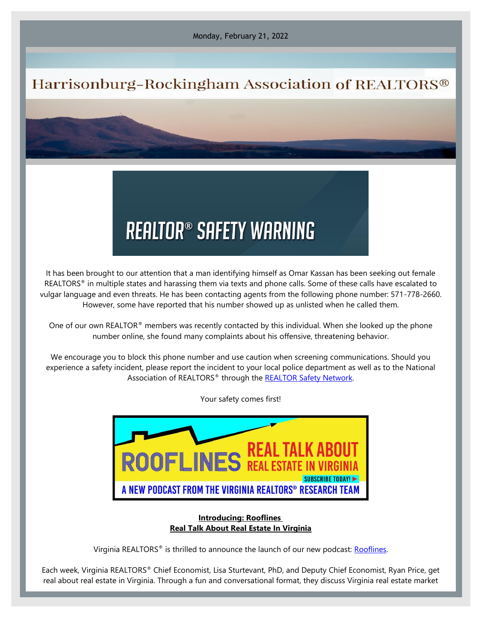Monday, February 21, 2022

## Harrisonburg-Rockingham Association of REALTORS®

## **REALTOR® SAFETY WARNING**

It has been brought to our attention that a man identifying himself as Omar Kassan has been seeking out female REALTORS<sup>®</sup> in multiple states and harassing them via texts and phone calls. Some of these calls have escalated to vulgar language and even threats. He has been contacting agents from the following phone number: 571-778-2660. However, some have reported that his number showed up as unlisted when he called them.

One of our own REALTOR® members was recently contacted by this individual. When she looked up the phone number online, she found many complaints about his offensive, threatening behavior.

We encourage you to block this phone number and use caution when screening communications. Should you experience a safety incident, please report the incident to your local police department as well as to the National Association of REALTORS® through the [REALTOR Safety Network.](https://elink.clickdimensions.com/c/7/eyJhaSI6Mzk4NDYwNjUsImUiOiJzdGFmZkBocmFyLmNvbSIsInJpIjoiY29udGFjdC0xZWRmODMwNGZlNzc0NWZjODU0NTFmMDhjNzc0OWE4YS1jMzJhNjViYmVkMzE0YzBlYTYyNWJjMzkzOGUzMjU0NyIsInJxIjoiMDItYjIyMDQ5LTY4YTA0ZGU1Nzk2ODQ1Mjg4MmY2MzExMWE4OGY2YjRkIiwicGgiOm51bGwsIm0iOmZhbHNlLCJ1aSI6IjIiLCJ1biI6IiIsInUiOiJodHRwczovL3d3dy5uYXIucmVhbHRvci9zYWZldHkvcmVhbHRvci1zYWZldHktbmV0d29yaz9fY2xkZWU9YzNSaFptWkFhSEpoY2k1amIyMCUzZCZyZWNpcGllbnRpZD1jb250YWN0LTFlZGY4MzA0ZmU3NzQ1ZmM4NTQ1MWYwOGM3NzQ5YThhLWMzMmE2NWJiZWQzMTRjMGVhNjI1YmMzOTM4ZTMyNTQ3JmVzaWQ9ODBkZGQxMjctZjI5MC1lYzExLTljODAtMDAxNTVkMTAxMjJkIn0/tKVDB4Gke0GYYI6YgqHc9Q)

Your safety comes first!



## **Introducing: Rooflines Real Talk About Real Estate In Virginia**

Virginia REALTORS® is thrilled to announce the launch of our new podcast: [Rooflines.](https://elink.clickdimensions.com/c/7/eyJhaSI6Mzk4NDYwNjUsImUiOiJzdGFmZkBocmFyLmNvbSIsInJpIjoiY29udGFjdC0xZWRmODMwNGZlNzc0NWZjODU0NTFmMDhjNzc0OWE4YS05N2ViZDUxYmZhNDY0MGY3OTQ0MDNhMjYxNTdhZDYyNyIsInJxIjoiMDItYjIyMDQ4LTQ3YTA0ODI5YTMxMjQ0ODU4MzI5NGU4NTE0ZjRmZDA5IiwicGgiOm51bGwsIm0iOmZhbHNlLCJ1aSI6IjIiLCJ1biI6IiIsInUiOiJodHRwczovL3ZpcmdpbmlhcmVhbHRvcnMub3JnL3Jvb2ZsaW5lcy8_X2NsZGVlPWMzUmhabVpBYUhKaGNpNWpiMjAlM2QmcmVjaXBpZW50aWQ9Y29udGFjdC0xZWRmODMwNGZlNzc0NWZjODU0NTFmMDhjNzc0OWE4YS05N2ViZDUxYmZhNDY0MGY3OTQ0MDNhMjYxNTdhZDYyNyZlc2lkPWMzMjY1NTA2LTA0OTAtZWMxMS05YzdiLTAwMTU1ZDAwNzlhMSJ9/1p1WnTktN_CocTXy0eurQw)

Each week, Virginia REALTORS® Chief Economist, Lisa Sturtevant, PhD, and Deputy Chief Economist, Ryan Price, get real about real estate in Virginia. Through a fun and conversational format, they discuss Virginia real estate market